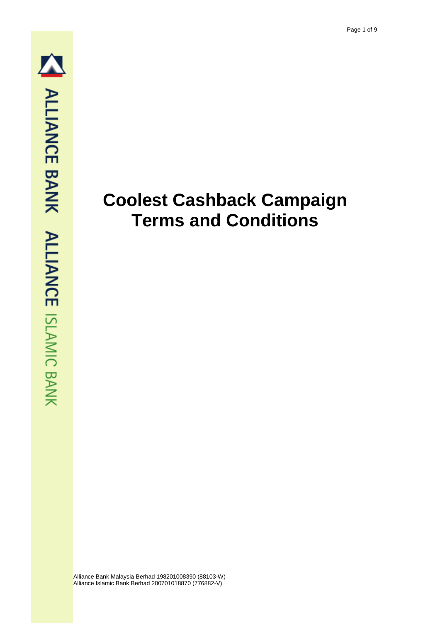# **Coolest Cashback Campaign Terms and Conditions**

Alliance Bank Malaysia Berhad 198201008390 (88103-W) Alliance Islamic Bank Berhad 200701018870 (776882-V)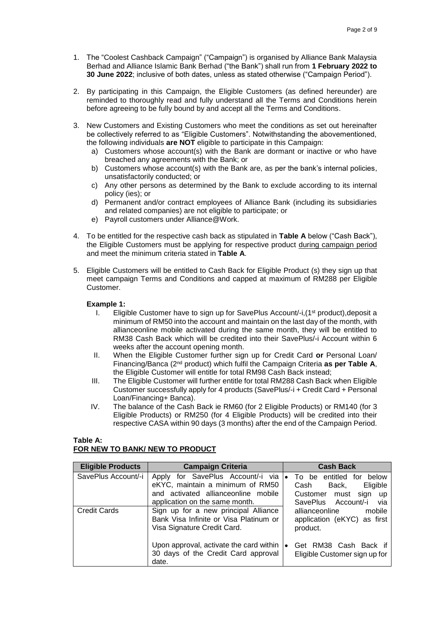- 1. The "Coolest Cashback Campaign" ("Campaign") is organised by Alliance Bank Malaysia Berhad and Alliance Islamic Bank Berhad ("the Bank") shall run from **1 February 2022 to 30 June 2022**; inclusive of both dates, unless as stated otherwise ("Campaign Period").
- 2. By participating in this Campaign, the Eligible Customers (as defined hereunder) are reminded to thoroughly read and fully understand all the Terms and Conditions herein before agreeing to be fully bound by and accept all the Terms and Conditions.
- 3. New Customers and Existing Customers who meet the conditions as set out hereinafter be collectively referred to as "Eligible Customers". Notwithstanding the abovementioned, the following individuals **are NOT** eligible to participate in this Campaign:
	- a) Customers whose account(s) with the Bank are dormant or inactive or who have breached any agreements with the Bank; or
	- b) Customers whose account(s) with the Bank are, as per the bank's internal policies, unsatisfactorily conducted; or
	- c) Any other persons as determined by the Bank to exclude according to its internal policy (ies); or
	- d) Permanent and/or contract employees of Alliance Bank (including its subsidiaries and related companies) are not eligible to participate; or
	- e) Payroll customers under Alliance@Work.
- 4. To be entitled for the respective cash back as stipulated in **Table A** below ("Cash Back"), the Eligible Customers must be applying for respective product during campaign period and meet the minimum criteria stated in **Table A**.
- 5. Eligible Customers will be entitled to Cash Back for Eligible Product (s) they sign up that meet campaign Terms and Conditions and capped at maximum of RM288 per Eligible Customer.

## **Example 1:**

- I. Eligible Customer have to sign up for SavePlus Account/-i, $(1<sup>st</sup>$  product),deposit a minimum of RM50 into the account and maintain on the last day of the month, with allianceonline mobile activated during the same month, they will be entitled to RM38 Cash Back which will be credited into their SavePlus/-i Account within 6 weeks after the account opening month.
- II. When the Eligible Customer further sign up for Credit Card **or** Personal Loan/ Financing/Banca (2<sup>nd</sup> product) which fulfil the Campaign Criteria as per Table A, the Eligible Customer will entitle for total RM98 Cash Back instead;
- III. The Eligible Customer will further entitle for total RM288 Cash Back when Eligible Customer successfully apply for 4 products (SavePlus/-i + Credit Card + Personal Loan/Financing+ Banca).
- IV. The balance of the Cash Back ie RM60 (for 2 Eligible Products) or RM140 (for 3 Eligible Products) or RM250 (for 4 Eligible Products) will be credited into their respective CASA within 90 days (3 months) after the end of the Campaign Period.

# **Table A: FOR NEW TO BANK/ NEW TO PRODUCT**

| <b>Eligible Products</b> | <b>Campaign Criteria</b>                                                                                                                       | <b>Cash Back</b>                                                                                               |
|--------------------------|------------------------------------------------------------------------------------------------------------------------------------------------|----------------------------------------------------------------------------------------------------------------|
| SavePlus Account/-i      | Apply for SavePlus Account/-i via<br>eKYC, maintain a minimum of RM50<br>and activated allianceonline mobile<br>application on the same month. | • To be entitled for below<br>Eligible<br>Back,<br>Cash<br>Customer must sign up<br>SavePlus Account/-i<br>via |
| <b>Credit Cards</b>      | Sign up for a new principal Alliance<br>Bank Visa Infinite or Visa Platinum or<br>Visa Signature Credit Card.                                  | allianceonline<br>mobile<br>application (eKYC) as first<br>product.                                            |
|                          | Upon approval, activate the card within<br>30 days of the Credit Card approval<br>date.                                                        | Get RM38 Cash Back if<br>$\bullet$<br>Eligible Customer sign up for                                            |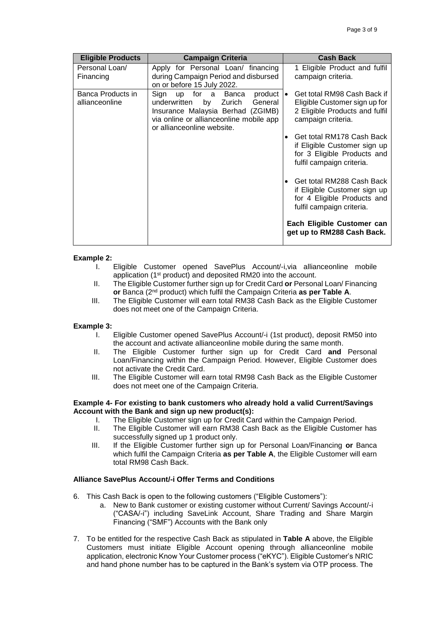| <b>Eligible Products</b>            | <b>Campaign Criteria</b>                                                                                                                                                                           | <b>Cash Back</b>                                                                                                                                                                                                                                                                                                                                                                                     |
|-------------------------------------|----------------------------------------------------------------------------------------------------------------------------------------------------------------------------------------------------|------------------------------------------------------------------------------------------------------------------------------------------------------------------------------------------------------------------------------------------------------------------------------------------------------------------------------------------------------------------------------------------------------|
| Personal Loan/<br>Financing         | Apply for Personal Loan/ financing<br>during Campaign Period and disbursed<br>on or before 15 July 2022.                                                                                           | 1 Eligible Product and fulfil<br>campaign criteria.                                                                                                                                                                                                                                                                                                                                                  |
| Banca Products in<br>allianceonline | up for a Banca<br>$product \cdot$<br>Sign<br>Zurich<br>General<br>underwritten<br>by<br>Insurance Malaysia Berhad (ZGIMB)<br>via online or allianceonline mobile app<br>or allianceonline website. | Get total RM98 Cash Back if<br>Eligible Customer sign up for<br>2 Eligible Products and fulfil<br>campaign criteria.<br>Get total RM178 Cash Back<br>if Eligible Customer sign up<br>for 3 Eligible Products and<br>fulfil campaign criteria.<br>Get total RM288 Cash Back<br>if Eligible Customer sign up<br>for 4 Eligible Products and<br>fulfil campaign criteria.<br>Each Eligible Customer can |
|                                     |                                                                                                                                                                                                    | get up to RM288 Cash Back.                                                                                                                                                                                                                                                                                                                                                                           |

## **Example 2:**

- I. Eligible Customer opened SavePlus Account/-i,via allianceonline mobile application (1<sup>st</sup> product) and deposited RM20 into the account.
- II. The Eligible Customer further sign up for Credit Card **or** Personal Loan/ Financing **or** Banca (2<sup>nd</sup> product) which fulfil the Campaign Criteria as per Table A.
- III. The Eligible Customer will earn total RM38 Cash Back as the Eligible Customer does not meet one of the Campaign Criteria.

## **Example 3:**

- I. Eligible Customer opened SavePlus Account/-i (1st product), deposit RM50 into the account and activate allianceonline mobile during the same month.
- II. The Eligible Customer further sign up for Credit Card **and** Personal Loan/Financing within the Campaign Period. However, Eligible Customer does not activate the Credit Card.
- III. The Eligible Customer will earn total RM98 Cash Back as the Eligible Customer does not meet one of the Campaign Criteria.

## **Example 4- For existing to bank customers who already hold a valid Current/Savings Account with the Bank and sign up new product(s):**

- I. The Eligible Customer sign up for Credit Card within the Campaign Period.
- II. The Eligible Customer will earn RM38 Cash Back as the Eligible Customer has successfully signed up 1 product only.
- III. If the Eligible Customer further sign up for Personal Loan/Financing **or** Banca which fulfil the Campaign Criteria **as per Table A**, the Eligible Customer will earn total RM98 Cash Back.

# **Alliance SavePlus Account/-i Offer Terms and Conditions**

- 6. This Cash Back is open to the following customers ("Eligible Customers"):
	- a. New to Bank customer or existing customer without Current/ Savings Account/-i ("CASA/-i") including SaveLink Account, Share Trading and Share Margin Financing ("SMF") Accounts with the Bank only
- 7. To be entitled for the respective Cash Back as stipulated in **Table A** above, the Eligible Customers must initiate Eligible Account opening through allianceonline mobile application, electronic Know Your Customer process ("eKYC"). Eligible Customer's NRIC and hand phone number has to be captured in the Bank's system via OTP process. The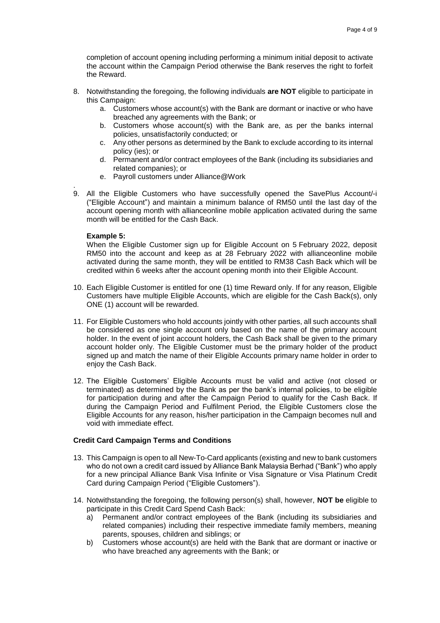completion of account opening including performing a minimum initial deposit to activate the account within the Campaign Period otherwise the Bank reserves the right to forfeit the Reward.

- 8. Notwithstanding the foregoing, the following individuals **are NOT** eligible to participate in this Campaign:
	- a. Customers whose account(s) with the Bank are dormant or inactive or who have breached any agreements with the Bank; or
	- b. Customers whose account(s) with the Bank are, as per the banks internal policies, unsatisfactorily conducted; or
	- c. Any other persons as determined by the Bank to exclude according to its internal policy (ies); or
	- d. Permanent and/or contract employees of the Bank (including its subsidiaries and related companies); or
	- e. Payroll customers under Alliance@Work
- . 9. All the Eligible Customers who have successfully opened the SavePlus Account/-i ("Eligible Account") and maintain a minimum balance of RM50 until the last day of the account opening month with allianceonline mobile application activated during the same month will be entitled for the Cash Back.

#### **Example 5:**

When the Eligible Customer sign up for Eligible Account on 5 February 2022, deposit RM50 into the account and keep as at 28 February 2022 with allianceonline mobile activated during the same month, they will be entitled to RM38 Cash Back which will be credited within 6 weeks after the account opening month into their Eligible Account.

- 10. Each Eligible Customer is entitled for one (1) time Reward only. If for any reason, Eligible Customers have multiple Eligible Accounts, which are eligible for the Cash Back(s), only ONE (1) account will be rewarded.
- 11. For Eligible Customers who hold accounts jointly with other parties, all such accounts shall be considered as one single account only based on the name of the primary account holder. In the event of joint account holders, the Cash Back shall be given to the primary account holder only. The Eligible Customer must be the primary holder of the product signed up and match the name of their Eligible Accounts primary name holder in order to enjoy the Cash Back.
- 12. The Eligible Customers' Eligible Accounts must be valid and active (not closed or terminated) as determined by the Bank as per the bank's internal policies, to be eligible for participation during and after the Campaign Period to qualify for the Cash Back. If during the Campaign Period and Fulfilment Period, the Eligible Customers close the Eligible Accounts for any reason, his/her participation in the Campaign becomes null and void with immediate effect.

# **Credit Card Campaign Terms and Conditions**

- 13. This Campaign is open to all New-To-Card applicants (existing and new to bank customers who do not own a credit card issued by Alliance Bank Malaysia Berhad ("Bank") who apply for a new principal Alliance Bank Visa Infinite or Visa Signature or Visa Platinum Credit Card during Campaign Period ("Eligible Customers").
- 14. Notwithstanding the foregoing, the following person(s) shall, however, **NOT be** eligible to participate in this Credit Card Spend Cash Back:
	- a) Permanent and/or contract employees of the Bank (including its subsidiaries and related companies) including their respective immediate family members, meaning parents, spouses, children and siblings; or
	- b) Customers whose account(s) are held with the Bank that are dormant or inactive or who have breached any agreements with the Bank; or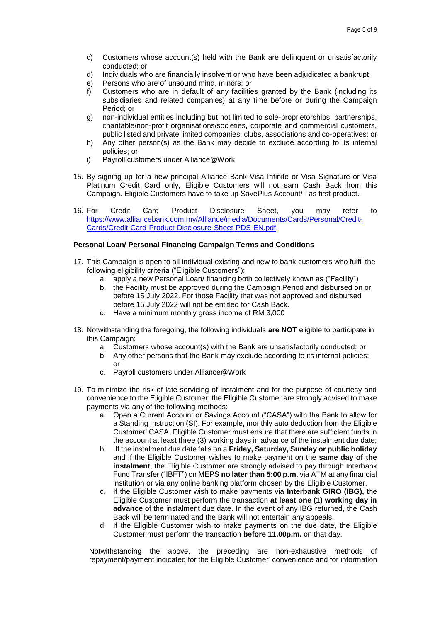- c) Customers whose account(s) held with the Bank are delinquent or unsatisfactorily conducted; or
- d) Individuals who are financially insolvent or who have been adjudicated a bankrupt;
- e) Persons who are of unsound mind, minors; or
- f) Customers who are in default of any facilities granted by the Bank (including its subsidiaries and related companies) at any time before or during the Campaign Period; or
- g) non-individual entities including but not limited to sole-proprietorships, partnerships, charitable/non-profit organisations/societies, corporate and commercial customers, public listed and private limited companies, clubs, associations and co-operatives; or
- h) Any other person(s) as the Bank may decide to exclude according to its internal policies; or
- i) Payroll customers under Alliance@Work
- 15. By signing up for a new principal Alliance Bank Visa Infinite or Visa Signature or Visa Platinum Credit Card only, Eligible Customers will not earn Cash Back from this Campaign. Eligible Customers have to take up SavePlus Account/-i as first product.
- 16. For Credit Card Product Disclosure Sheet, you may refer to [https://www.alliancebank.com.my/Alliance/media/Documents/Cards/Personal/Credit-](https://www.alliancebank.com.my/Alliance/media/Documents/Cards/Personal/Credit-Cards/Credit-Card-Product-Disclosure-Sheet-PDS-EN.pdf)[Cards/Credit-Card-Product-Disclosure-Sheet-PDS-EN.pdf.](https://www.alliancebank.com.my/Alliance/media/Documents/Cards/Personal/Credit-Cards/Credit-Card-Product-Disclosure-Sheet-PDS-EN.pdf)

## **Personal Loan/ Personal Financing Campaign Terms and Conditions**

- 17. This Campaign is open to all individual existing and new to bank customers who fulfil the following eligibility criteria ("Eligible Customers"):
	- a. apply a new Personal Loan/ financing both collectively known as ("Facility")
	- b. the Facility must be approved during the Campaign Period and disbursed on or before 15 July 2022. For those Facility that was not approved and disbursed before 15 July 2022 will not be entitled for Cash Back.
	- c. Have a minimum monthly gross income of RM 3,000
- 18. Notwithstanding the foregoing, the following individuals **are NOT** eligible to participate in this Campaign:
	- a. Customers whose account(s) with the Bank are unsatisfactorily conducted; or
	- b. Any other persons that the Bank may exclude according to its internal policies; or
	- c. Payroll customers under Alliance@Work
- 19. To minimize the risk of late servicing of instalment and for the purpose of courtesy and convenience to the Eligible Customer, the Eligible Customer are strongly advised to make payments via any of the following methods:
	- a. Open a Current Account or Savings Account ("CASA") with the Bank to allow for a Standing Instruction (SI). For example, monthly auto deduction from the Eligible Customer' CASA. Eligible Customer must ensure that there are sufficient funds in the account at least three (3) working days in advance of the instalment due date;
	- b. If the instalment due date falls on a **Friday, Saturday, Sunday or public holiday**  and if the Eligible Customer wishes to make payment on the **same day of the instalment**, the Eligible Customer are strongly advised to pay through Interbank Fund Transfer ("IBFT") on MEPS **no later than 5:00 p.m.** via ATM at any financial institution or via any online banking platform chosen by the Eligible Customer.
	- c. If the Eligible Customer wish to make payments via **Interbank GIRO (IBG),** the Eligible Customer must perform the transaction **at least one (1) working day in advance** of the instalment due date. In the event of any IBG returned, the Cash Back will be terminated and the Bank will not entertain any appeals.
	- d. If the Eligible Customer wish to make payments on the due date, the Eligible Customer must perform the transaction **before 11.00p.m.** on that day.

Notwithstanding the above, the preceding are non-exhaustive methods of repayment/payment indicated for the Eligible Customer' convenience and for information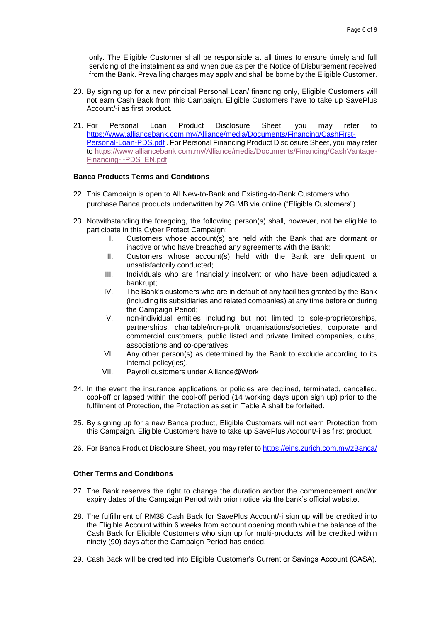only. The Eligible Customer shall be responsible at all times to ensure timely and full servicing of the instalment as and when due as per the Notice of Disbursement received from the Bank. Prevailing charges may apply and shall be borne by the Eligible Customer.

- 20. By signing up for a new principal Personal Loan/ financing only, Eligible Customers will not earn Cash Back from this Campaign. Eligible Customers have to take up SavePlus Account/-i as first product.
- 21. For Personal Loan Product Disclosure Sheet, you may refer to [https://www.alliancebank.com.my/Alliance/media/Documents/Financing/CashFirst-](https://www.alliancebank.com.my/Alliance/media/Documents/Financing/CashFirst-Personal-Loan-PDS.pdf)[Personal-Loan-PDS.pdf](https://www.alliancebank.com.my/Alliance/media/Documents/Financing/CashFirst-Personal-Loan-PDS.pdf) . For Personal Financing Product Disclosure Sheet, you may refer to [https://www.alliancebank.com.my/Alliance/media/Documents/Financing/CashVantage-](https://www.alliancebank.com.my/Alliance/media/Documents/Financing/CashVantage-Financing-i-PDS_EN.pdf)[Financing-i-PDS\\_EN.pdf](https://www.alliancebank.com.my/Alliance/media/Documents/Financing/CashVantage-Financing-i-PDS_EN.pdf)

# **Banca Products Terms and Conditions**

- 22. This Campaign is open to All New-to-Bank and Existing-to-Bank Customers who purchase Banca products underwritten by ZGIMB via online ("Eligible Customers").
- 23. Notwithstanding the foregoing, the following person(s) shall, however, not be eligible to participate in this Cyber Protect Campaign:
	- I. Customers whose account(s) are held with the Bank that are dormant or inactive or who have breached any agreements with the Bank;
	- II. Customers whose account(s) held with the Bank are delinquent or unsatisfactorily conducted;
	- III. Individuals who are financially insolvent or who have been adjudicated a bankrupt;
	- IV. The Bank's customers who are in default of any facilities granted by the Bank (including its subsidiaries and related companies) at any time before or during the Campaign Period;
	- V. non-individual entities including but not limited to sole-proprietorships, partnerships, charitable/non-profit organisations/societies, corporate and commercial customers, public listed and private limited companies, clubs, associations and co-operatives;
	- VI. Any other person(s) as determined by the Bank to exclude according to its internal policy(ies).
	- VII. Payroll customers under Alliance@Work
- 24. In the event the insurance applications or policies are declined, terminated, cancelled, cool-off or lapsed within the cool-off period (14 working days upon sign up) prior to the fulfilment of Protection, the Protection as set in Table A shall be forfeited.
- 25. By signing up for a new Banca product, Eligible Customers will not earn Protection from this Campaign. Eligible Customers have to take up SavePlus Account/-i as first product.
- 26. For Banca Product Disclosure Sheet, you may refer to<https://eins.zurich.com.my/zBanca/>

## **Other Terms and Conditions**

- 27. The Bank reserves the right to change the duration and/or the commencement and/or expiry dates of the Campaign Period with prior notice via the bank's official website.
- 28. The fulfillment of RM38 Cash Back for SavePlus Account/-i sign up will be credited into the Eligible Account within 6 weeks from account opening month while the balance of the Cash Back for Eligible Customers who sign up for multi-products will be credited within ninety (90) days after the Campaign Period has ended.
- 29. Cash Back will be credited into Eligible Customer's Current or Savings Account (CASA).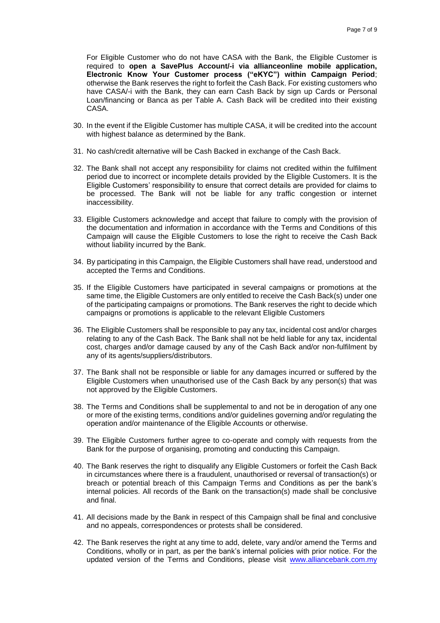For Eligible Customer who do not have CASA with the Bank, the Eligible Customer is required to **open a SavePlus Account/-i via allianceonline mobile application, Electronic Know Your Customer process ("eKYC") within Campaign Period**; otherwise the Bank reserves the right to forfeit the Cash Back. For existing customers who have CASA/-i with the Bank, they can earn Cash Back by sign up Cards or Personal Loan/financing or Banca as per Table A. Cash Back will be credited into their existing CASA.

- 30. In the event if the Eligible Customer has multiple CASA, it will be credited into the account with highest balance as determined by the Bank.
- 31. No cash/credit alternative will be Cash Backed in exchange of the Cash Back.
- 32. The Bank shall not accept any responsibility for claims not credited within the fulfilment period due to incorrect or incomplete details provided by the Eligible Customers. It is the Eligible Customers' responsibility to ensure that correct details are provided for claims to be processed. The Bank will not be liable for any traffic congestion or internet inaccessibility.
- 33. Eligible Customers acknowledge and accept that failure to comply with the provision of the documentation and information in accordance with the Terms and Conditions of this Campaign will cause the Eligible Customers to lose the right to receive the Cash Back without liability incurred by the Bank.
- 34. By participating in this Campaign, the Eligible Customers shall have read, understood and accepted the Terms and Conditions.
- 35. If the Eligible Customers have participated in several campaigns or promotions at the same time, the Eligible Customers are only entitled to receive the Cash Back(s) under one of the participating campaigns or promotions. The Bank reserves the right to decide which campaigns or promotions is applicable to the relevant Eligible Customers
- 36. The Eligible Customers shall be responsible to pay any tax, incidental cost and/or charges relating to any of the Cash Back. The Bank shall not be held liable for any tax, incidental cost, charges and/or damage caused by any of the Cash Back and/or non-fulfilment by any of its agents/suppliers/distributors.
- 37. The Bank shall not be responsible or liable for any damages incurred or suffered by the Eligible Customers when unauthorised use of the Cash Back by any person(s) that was not approved by the Eligible Customers.
- 38. The Terms and Conditions shall be supplemental to and not be in derogation of any one or more of the existing terms, conditions and/or guidelines governing and/or regulating the operation and/or maintenance of the Eligible Accounts or otherwise.
- 39. The Eligible Customers further agree to co-operate and comply with requests from the Bank for the purpose of organising, promoting and conducting this Campaign.
- 40. The Bank reserves the right to disqualify any Eligible Customers or forfeit the Cash Back in circumstances where there is a fraudulent, unauthorised or reversal of transaction(s) or breach or potential breach of this Campaign Terms and Conditions as per the bank's internal policies. All records of the Bank on the transaction(s) made shall be conclusive and final.
- 41. All decisions made by the Bank in respect of this Campaign shall be final and conclusive and no appeals, correspondences or protests shall be considered.
- 42. The Bank reserves the right at any time to add, delete, vary and/or amend the Terms and Conditions, wholly or in part, as per the bank's internal policies with prior notice. For the updated version of the Terms and Conditions, please visit [www.alliancebank.com.my](http://www.alliancebank.com.my/)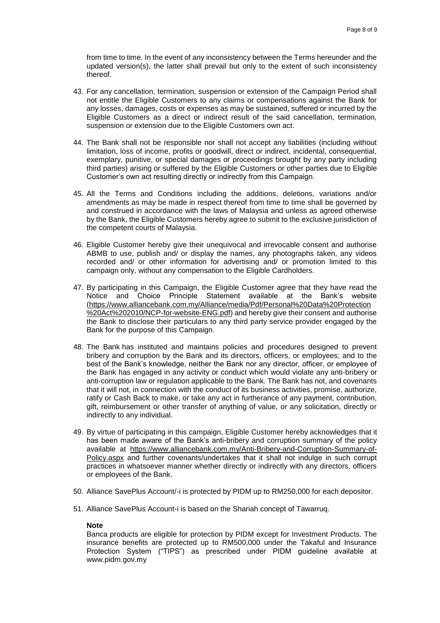from time to time. In the event of any inconsistency between the Terms hereunder and the updated version(s), the latter shall prevail but only to the extent of such inconsistency thereof.

- 43. For any cancellation, termination, suspension or extension of the Campaign Period shall not entitle the Eligible Customers to any claims or compensations against the Bank for any losses, damages, costs or expenses as may be sustained, suffered or incurred by the Eligible Customers as a direct or indirect result of the said cancellation, termination, suspension or extension due to the Eligible Customers own act.
- 44. The Bank shall not be responsible nor shall not accept any liabilities (including without limitation, loss of income, profits or goodwill, direct or indirect, incidental, consequential, exemplary, punitive, or special damages or proceedings brought by any party including third parties) arising or suffered by the Eligible Customers or other parties due to Eligible Customer's own act resulting directly or indirectly from this Campaign.
- 45. All the Terms and Conditions including the additions, deletions, variations and/or amendments as may be made in respect thereof from time to time shall be governed by and construed in accordance with the laws of Malaysia and unless as agreed otherwise by the Bank, the Eligible Customers hereby agree to submit to the exclusive jurisdiction of the competent courts of Malaysia.
- 46. Eligible Customer hereby give their unequivocal and irrevocable consent and authorise ABMB to use, publish and/ or display the names, any photographs taken, any videos recorded and/ or other information for advertising and/ or promotion limited to this campaign only, without any compensation to the Eligible Cardholders.
- 47. By participating in this Campaign, the Eligible Customer agree that they have read the Notice and Choice Principle Statement available at the Bank's website [\(https://www.alliancebank.com.my/Alliance/media/Pdf/Personal%20Data%20Protection](https://www.alliancebank.com.my/Alliance/media/Pdf/Personal%20Data%20Protection%20Act%202010/NCP-for-website-ENG.pdf) [%20Act%202010/NCP-for-website-ENG.pdf\)](https://www.alliancebank.com.my/Alliance/media/Pdf/Personal%20Data%20Protection%20Act%202010/NCP-for-website-ENG.pdf) and hereby give their consent and authorise the Bank to disclose their particulars to any third party service provider engaged by the Bank for the purpose of this Campaign.
- 48. The Bank has instituted and maintains policies and procedures designed to prevent bribery and corruption by the Bank and its directors, officers, or employees; and to the best of the Bank's knowledge, neither the Bank nor any director, officer, or employee of the Bank has engaged in any activity or conduct which would violate any anti-bribery or anti-corruption law or regulation applicable to the Bank. The Bank has not, and covenants that it will not, in connection with the conduct of its business activities, promise, authorize, ratify or Cash Back to make, or take any act in furtherance of any payment, contribution, gift, reimbursement or other transfer of anything of value, or any solicitation, directly or indirectly to any individual.
- 49. By virtue of participating in this campaign, Eligible Customer hereby acknowledges that it has been made aware of the Bank's anti-bribery and corruption summary of the policy available at [https://www.alliancebank.com.my/Anti-Bribery-and-Corruption-Summary-of-](https://www.alliancebank.com.my/Anti-Bribery-and-Corruption-Summary-of-Policy.aspx)[Policy.aspx](https://www.alliancebank.com.my/Anti-Bribery-and-Corruption-Summary-of-Policy.aspx) and further covenants/undertakes that it shall not indulge in such corrupt practices in whatsoever manner whether directly or indirectly with any directors, officers or employees of the Bank.
- 50. Alliance SavePlus Account/-i is protected by PIDM up to RM250,000 for each depositor.
- 51. Alliance SavePlus Account-i is based on the Shariah concept of Tawarruq.

#### **Note**

Banca products are eligible for protection by PIDM except for Investment Products. The insurance benefits are protected up to RM500,000 under the Takaful and Insurance Protection System ("TIPS") as prescribed under PIDM guideline available at www.pidm.gov.my